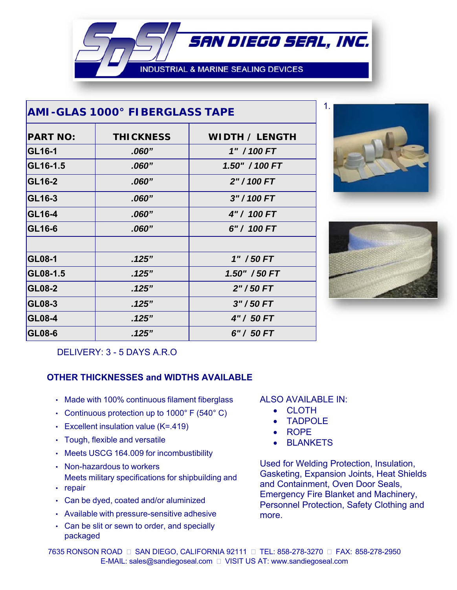**INDUSTRIAL & MARINE SEALING DEVICES** 

SAN DIEGO SEAL, INC.

| AMI-GLAS 1000° FIBERGLASS TAPE |                  |                       |
|--------------------------------|------------------|-----------------------|
| <b>PART NO:</b>                | <b>THICKNESS</b> | <i>WIDTH / LENGTH</i> |
| GL16-1                         | .060"            | 1" / 100 FT           |
| GL16-1.5                       | .060"            | 1.50" / 100 FT        |
| GL16-2                         | .060"            | 2" / 100 FT           |
| GL16-3                         | .060"            | 3" / 100 FT           |
| GL16-4                         | .060"            | 4" / 100 FT           |
| GL16-6                         | .060"            | 6" / 100 FT           |
| <b>GL08-1</b>                  | .125"            | 1" / 50 FT            |
| GL08-1.5                       | .125"            | 1.50" / 50 FT         |
| <b>GL08-2</b>                  | .125"            | $2" / 50$ FT          |
| GL08-3                         | .125"            | $3''/50$ FT           |
| <b>GL08-4</b>                  | .125"            | 4" / 50 FT            |
| GL08-6                         | .125"            | 6" / 50 FT            |





DELIVERY: 3 - 5 DAYS A.R.O

## **OTHER THICKNESSES and WIDTHS AVAILABLE**

- Made with 100% continuous filament fiberglass
- Continuous protection up to  $1000^{\circ}$  F (540 $^{\circ}$  C)
- Excellent insulation value (K=.419)
- Tough, flexible and versatile
- Meets USCG 164.009 for incombustibility
- Non-hazardous to workers Meets military specifications for shipbuilding and
- repair
- Can be dyed, coated and/or aluminized
- Available with pressure-sensitive adhesive
- Can be slit or sewn to order, and specially packaged

## ALSO AVAILABLE IN:

- CLOTH
- TADPOLE
- ROPE
- BLANKETS

Used for Welding Protection, Insulation, Gasketing, Expansion Joints, Heat Shields and Containment, Oven Door Seals, Emergency Fire Blanket and Machinery, Personnel Protection, Safety Clothing and more.

7635 RONSON ROAD □ SAN DIEGO, CALIFORNIA 92111 □ TEL: 858-278-3270 □ FAX: 858-278-2950 E-MAIL: sales@sandiegoseal.com VISIT US AT: www.sandiegoseal.com